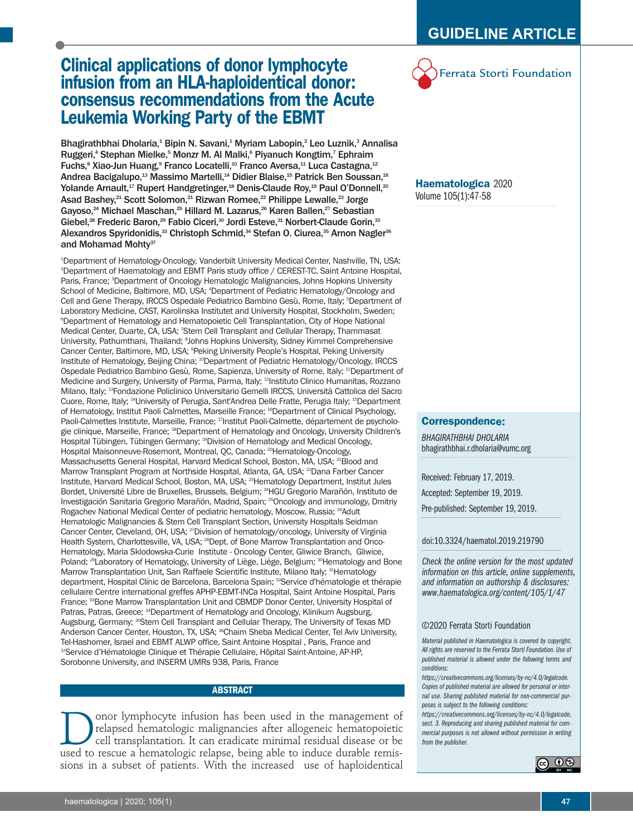# **Clinical applications of donor lymphocyte**<br> **lyfusion from on ULA bonicidenties denorment of the Ferrata Storti Foundation infusion from an HLA-haploidentical donor: consensus recommendations from the Acute Leukemia Working Party of the EBMT**

Bhagirathbhai Dholaria,<sup>1</sup> Bipin N. Savani,<sup>1</sup> Myriam Labopin,<sup>2</sup> Leo Luznik,<sup>3</sup> Annalisa Ruggeri, <sup>4</sup> Stephan Mielke, <sup>5</sup> Monzr M. Al Malki, <sup>6</sup> Piyanuch Kongtim, <sup>7</sup> Ephraim Fuchs,<sup>8</sup> Xiao-Jun Huang,<sup>9</sup> Franco Locatelli,<sup>10</sup> Franco Aversa,<sup>11</sup> Luca Castagna,<sup>12</sup> Andrea Bacigalupo, $^{\scriptscriptstyle 13}$  Massimo Martelli, $^{\scriptscriptstyle 14}$  Didier Blaise, $^{\scriptscriptstyle 15}$  Patrick Ben Soussan, $^{\scriptscriptstyle 16}$ Yolande Arnault, $^{\scriptscriptstyle 17}$  Rupert Handgretinger, $^{\scriptscriptstyle 18}$  Denis-Claude Roy, $^{\scriptscriptstyle 19}$  Paul O'Donnell, $^{\scriptscriptstyle 20}$ Asad Bashey,<sup>21</sup> Scott Solomon,<sup>21</sup> Rizwan Romee,<sup>22</sup> Philippe Lewalle,<sup>23</sup> Jorge Gayoso,<sup>24</sup> Michael Maschan,<sup>25</sup> Hillard M. Lazarus,<sup>26</sup> Karen Ballen,<sup>27</sup> Sebastian Giebel,<sup>28</sup> Frederic Baron,<sup>29</sup> Fabio Ciceri,<sup>30</sup> Jordi Esteve,<sup>31</sup> Norbert-Claude Gorin,<sup>32</sup> Alexandros Spyridonidis, $^{\rm 33}$  Christoph Schmid, $^{\rm 34}$  Stefan O. Ciurea, $^{\rm 35}$  Arnon Nagler $^{\rm 36}$ and Mohamad Mohtv<sup>37</sup>

1 Department of Hematology-Oncology, Vanderbilt University Medical Center, Nashville, TN, USA: 2 Department of Haematology and EBMT Paris study office / CEREST-TC, Saint Antoine Hospital, Paris, France; <sup>3</sup>Department of Oncology Hematologic Malignancies, Johns Hopkins University School of Medicine, Baltimore, MD, USA; <sup>4</sup> Department of Pediatric Hematology/Oncology and Cell and Gene Therapy, IRCCS Ospedale Pediatrico Bambino Gesù, Rome, Italy; <sup>5</sup>Department of Laboratory Medicine, CAST, Karolinska Institutet and University Hospital, Stockholm, Sweden; 6 Department of Hematology and Hematopoietic Cell Transplantation, City of Hope National Medical Center, Duarte, CA, USA; 'Stem Cell Transplant and Cellular Therapy, Thammasat University, Pathumthani, Thailand; <sup>s</sup>Johns Hopkins University, Sidney Kimmel Comprehensive Cancer Center, Baltimore, MD, USA; <sup>9</sup>Peking University People's Hospital, Peking University Institute of Hematology, Beijing China; <sup>10</sup>Department of Pediatric Hematology/Oncology, IRCCS Ospedale Pediatrico Bambino Gesù, Rome, Sapienza, University of Rome, Italy; <sup>11</sup> Department of Medicine and Surgery, University of Parma, Parma, Italy; <sup>12</sup> Instituto Clinico Humanitas, Rozzano Milano, Italy; <sup>13</sup> Fondazione Policlinico Universitario Gemelli IRCCS, Università Cattolica del Sacro Cuore, Rome, Italy; <sup>14</sup>University of Perugia, Sant'Andrea Delle Fratte, Perugia Italy; <sup>15</sup>Department of Hematology, Institut Paoli Calmettes, Marseille France; <sup>16</sup> Department of Clinical Psychology, Paoli-Calmettes Institute, Marseille, France; <sup>17</sup>Institut Paoli-Calmette, département de psychologie clinique, Marseille, France; <sup>18</sup>Department of Hematology and Oncology, University Children's Hospital Tübingen, Tübingen Germany; <sup>19</sup>Division of Hematology and Medical Oncology, Hospital Maisonneuve-Rosemont, Montreal, QC, Canada; <sup>20</sup>Hematology-Oncology, Massachusetts General Hospital, Harvard Medical School, Boston, MA, USA; <sup>21</sup>Blood and Marrow Transplant Program at Northside Hospital, Atlanta, GA, USA; <sup>22</sup>Dana Farber Cancer Institute, Harvard Medical School, Boston, MA, USA; <sup>23</sup>Hematology Department, Institut Jules Bordet, Université Libre de Bruxelles, Brussels, Belgium; <sup>24</sup>HGU Gregorio Marañón, Instituto de Investigación Sanitaria Gregorio Marañón, Madrid, Spain; <sup>25</sup> Oncology and immunology, Dmitriy Rogachev National Medical Center of pediatric hematology, Moscow, Russia; <sup>26</sup> Adult Hematologic Malignancies & Stem Cell Transplant Section, University Hospitals Seidman Cancer Center, Cleveland, OH, USA; <sup>27</sup>Division of hematology/oncology, University of Virginia Health System, Charlottesville, VA, USA; <sup>28</sup>Dept. of Bone Marrow Transplantation and Onco-Hematology, Maria Sklodowska-Curie Institute - Oncology Center, Gliwice Branch, Gliwice, Poland; <sup>29</sup>Laboratory of Hematology, University of Liège, Liège, Belgium; <sup>30</sup>Hematology and Bone Marrow Transplantation Unit, San Raffaele Scientific Institute, Milano Italy; <sup>31</sup>Hematology department, Hospital Clínic de Barcelona, Barcelona Spain; <sup>32</sup>Service d'hématologie et thérapie cellulaire Centre international greffes APHP-EBMT-INCa Hospital, Saint Antoine Hospital, Paris France; <sup>33</sup> Bone Marrow Transplantation Unit and CBMDP Donor Center, University Hospital of Patras, Patras, Greece; <sup>34</sup>Department of Hematology and Oncology, Klinikum Augsburg, Augsburg, Germany; <sup>35</sup>Stem Cell Transplant and Cellular Therapy, The University of Texas MD Anderson Cancer Center, Houston, TX, USA; <sup>36</sup>Chaim Sheba Medical Center, Tel Aviv University, Tel-Hashomer, Israel and EBMT ALWP office, Saint Antoine Hospital , Paris, France and 37 Service d'Hématologie Clinique et Thérapie Cellulaire, Hôpital Saint-Antoine, AP-HP, Sorobonne University, and INSERM UMRs 938, Paris, France

# **ABSTRACT**

Oonor lymphocyte infusion has been used in the management of relapsed hematologic malignancies after allogeneic hematopoietic cell transplantation. It can eradicate minimal residual disease or be used to rescue a hematolog relapsed hematologic malignancies after allogeneic hematopoietic cell transplantation. It can eradicate minimal residual disease or be used to rescue a hematologic relapse, being able to induce durable remissions in a subset of patients. With the increased use of haploidentical



**Haematologica** 2020 Volume 105(1):47-58

# **Correspondence:**

*BHAGIRATHBHAI DHOLARIA* bhagirathbhai.r.dholaria@vumc.org

Received: February 17, 2019. Accepted: September 19, 2019.

Pre-published: September 19, 2019.

## doi:10.3324/haematol.2019.219790

*Check the online version for the most updated information on this article, online supplements, and information on authorship & disclosures: www.haematologica.org/content/105/1/47*

## ©2020 Ferrata Storti Foundation

*Material published in Haematologica is covered by copyright. All rights are reserved to the Ferrata Storti Foundation. Use of published material is allowed under the following terms and conditions:*

*https://creativecommons.org/licenses/by-nc/4.0/legalcode. Copies of published material are allowed for personal or internal use. Sharing published material for non-commercial purposes is subject to the following conditions:*

*https://creativecommons.org/licenses/by-nc/4.0/legalcode, sect. 3. Reproducing and sharing published material for commercial purposes is not allowed without permission in writing from the publisher.*

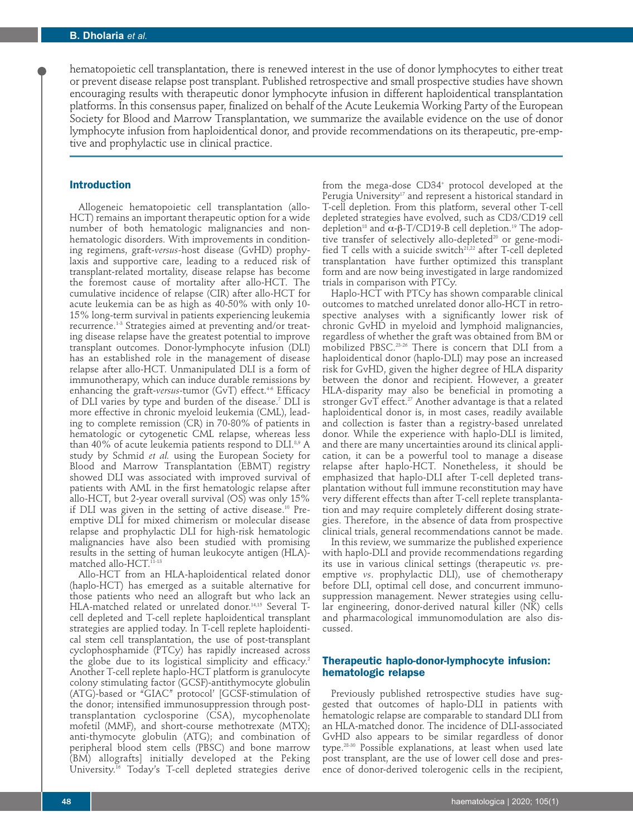hematopoietic cell transplantation, there is renewed interest in the use of donor lymphocytes to either treat or prevent disease relapse post transplant. Published retrospective and small prospective studies have shown encouraging results with therapeutic donor lymphocyte infusion in different haploidentical transplantation platforms. In this consensus paper, finalized on behalf of the Acute Leukemia Working Party of the European Society for Blood and Marrow Transplantation, we summarize the available evidence on the use of donor lymphocyte infusion from haploidentical donor, and provide recommendations on its therapeutic, pre-emptive and prophylactic use in clinical practice.

# **Introduction**

Allogeneic hematopoietic cell transplantation (allo-HCT) remains an important therapeutic option for a wide number of both hematologic malignancies and nonhematologic disorders. With improvements in conditioning regimens, graft-*versus-*host disease (GvHD) prophylaxis and supportive care, leading to a reduced risk of transplant-related mortality, disease relapse has become the foremost cause of mortality after allo-HCT. The cumulative incidence of relapse (CIR) after allo-HCT for acute leukemia can be as high as 40-50% with only 10- 15% long-term survival in patients experiencing leukemia recurrence. 1-3 Strategies aimed at preventing and/or treating disease relapse have the greatest potential to improve transplant outcomes. Donor-lymphocyte infusion (DLI) has an established role in the management of disease relapse after allo-HCT. Unmanipulated DLI is a form of immunotherapy, which can induce durable remissions by enhancing the graft-*versus*-tumor (GvT) effect.<sup>46</sup> Efficacy of DLI varies by type and burden of the disease. <sup>7</sup> DLI is more effective in chronic myeloid leukemia (CML), leading to complete remission (CR) in 70-80% of patients in hematologic or cytogenetic CML relapse, whereas less than 40% of acute leukemia patients respond to DLI. 8,9 A study by Schmid *et al.* using the European Society for Blood and Marrow Transplantation (EBMT) registry showed DLI was associated with improved survival of patients with AML in the first hematologic relapse after allo-HCT, but 2-year overall survival (OS) was only 15% if DLI was given in the setting of active disease. <sup>10</sup> Preemptive DLI for mixed chimerism or molecular disease relapse and prophylactic DLI for high-risk hematologic malignancies have also been studied with promising results in the setting of human leukocyte antigen (HLA) matched allo-HCT. 11-13

Allo-HCT from an HLA-haploidentical related donor (haplo-HCT) has emerged as a suitable alternative for those patients who need an allograft but who lack an HLA-matched related or unrelated donor. 14,15 Several Tcell depleted and T-cell replete haploidentical transplant strategies are applied today. In T-cell replete haploidentical stem cell transplantation, the use of post-transplant cyclophosphamide (PTCy) has rapidly increased across the globe due to its logistical simplicity and efficacy. 2 Another T-cell replete haplo-HCT platform is granulocyte colony stimulating factor (GCSF)-antithymocyte globulin (ATG)-based or "GIAC" protocol' [GCSF-stimulation of the donor; intensified immunosuppression through posttransplantation cyclosporine (CSA), mycophenolate mofetil (MMF), and short-course methotrexate (MTX); anti-thymocyte globulin (ATG); and combination of peripheral blood stem cells (PBSC) and bone marrow (BM) allografts] initially developed at the Peking University. <sup>16</sup> Today's T-cell depleted strategies derive

from the mega-dose CD34<sup>+</sup> protocol developed at the Perugia University<sup>17</sup> and represent a historical standard in T-cell depletion. From this platform, several other T-cell depleted strategies have evolved, such as CD3/CD19 cell depletion<sup>18</sup> and α-β-T/CD19-B cell depletion.<sup>19</sup> The adoptive transfer of selectively allo-depleted $^{20}$  or gene-modified T cells with a suicide switch $^{21,22}$  after T-cell depleted transplantation have further optimized this transplant form and are now being investigated in large randomized trials in comparison with PTCy.

Haplo-HCT with PTCy has shown comparable clinical outcomes to matched unrelated donor allo-HCT in retrospective analyses with a significantly lower risk of chronic GvHD in myeloid and lymphoid malignancies, regardless of whether the graft was obtained from BM or mobilized PBSC. 23-26 There is concern that DLI from a haploidentical donor (haplo-DLI) may pose an increased risk for GvHD, given the higher degree of HLA disparity between the donor and recipient. However, a greater HLA-disparity may also be beneficial in promoting a stronger GvT effect. $^{27}$  Another advantage is that a related haploidentical donor is, in most cases, readily available and collection is faster than a registry-based unrelated donor. While the experience with haplo-DLI is limited, and there are many uncertainties around its clinical application, it can be a powerful tool to manage a disease relapse after haplo-HCT. Nonetheless, it should be emphasized that haplo-DLI after T-cell depleted transplantation without full immune reconstitution may have very different effects than after T-cell replete transplantation and may require completely different dosing strategies. Therefore, in the absence of data from prospective clinical trials, general recommendations cannot be made.

In this review, we summarize the published experience with haplo-DLI and provide recommendations regarding its use in various clinical settings (therapeutic *vs.* preemptive *vs*. prophylactic DLI), use of chemotherapy before DLI, optimal cell dose, and concurrent immunosuppression management. Newer strategies using cellular engineering, donor-derived natural killer (NK) cells and pharmacological immunomodulation are also discussed.

# **Therapeutic haplo-donor-lymphocyte infusion: hematologic relapse**

Previously published retrospective studies have suggested that outcomes of haplo-DLI in patients with hematologic relapse are comparable to standard DLI from an HLA-matched donor. The incidence of DLI-associated GvHD also appears to be similar regardless of donor type. 28-30 Possible explanations, at least when used late post transplant, are the use of lower cell dose and presence of donor-derived tolerogenic cells in the recipient,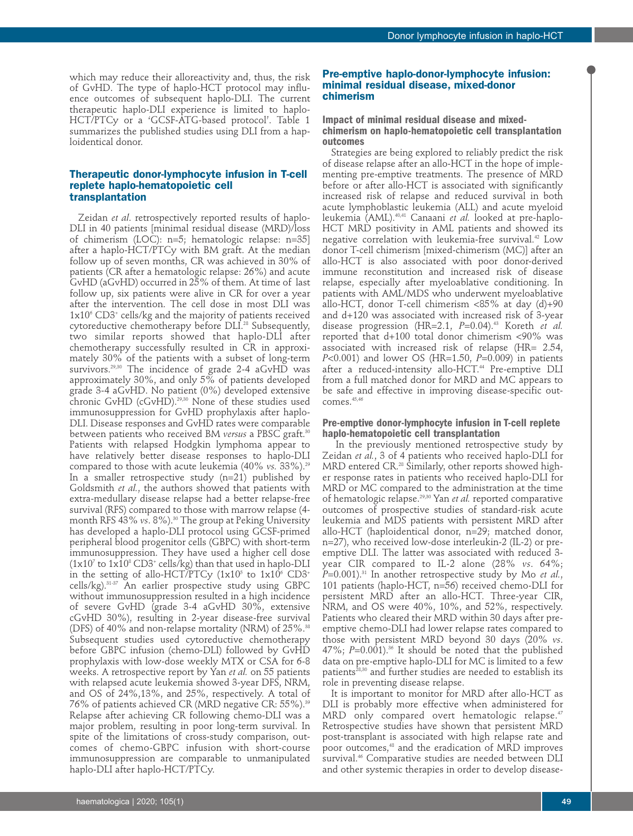which may reduce their alloreactivity and, thus, the risk of GvHD. The type of haplo-HCT protocol may influence outcomes of subsequent haplo-DLI. The current therapeutic haplo-DLI experience is limited to haplo-HCT/PTCy or a 'GCSF-ATG-based protocol'. Table 1 summarizes the published studies using DLI from a haploidentical donor.

# **Therapeutic donor-lymphocyte infusion in T-cell replete haplo-hematopoietic cell transplantation**

Zeidan *et al*. retrospectively reported results of haplo-DLI in 40 patients [minimal residual disease (MRD)/loss of chimerism (LOC): n=5; hematologic relapse: n=35] after a haplo-HCT/PTCy with BM graft. At the median follow up of seven months, CR was achieved in 30% of patients (CR after a hematologic relapse: 26%) and acute GvHD (aGvHD) occurred in 25% of them. At time of last follow up, six patients were alive in CR for over a year after the intervention. The cell dose in most DLI was 1x10<sup>6</sup> CD3<sup>+</sup> cells/kg and the majority of patients received cytoreductive chemotherapy before DLI. <sup>28</sup> Subsequently, two similar reports showed that haplo-DLI after chemotherapy successfully resulted in CR in approximately 30% of the patients with a subset of long-term survivors. 29,30 The incidence of grade 2-4 aGvHD was approximately 30%, and only  $5\%$  of patients developed grade 3-4 aGvHD. No patient (0%) developed extensive chronic GvHD (cGvHD). 29,30 None of these studies used immunosuppression for GvHD prophylaxis after haplo-DLI. Disease responses and GvHD rates were comparable between patients who received BM *versus* a PBSC graft. 30 Patients with relapsed Hodgkin lymphoma appear to have relatively better disease responses to haplo-DLI compared to those with acute leukemia (40% *vs.* 33%). 29 In a smaller retrospective study (n=21) published by Goldsmith *et al.*, the authors showed that patients with extra-medullary disease relapse had a better relapse-free survival (RFS) compared to those with marrow relapse (4 month RFS 43% *vs*. 8%). <sup>30</sup> The group at Peking University has developed a haplo-DLI protocol using GCSF-primed peripheral blood progenitor cells (GBPC) with short-term immunosuppression. They have used a higher cell dose  $(1x10<sup>7</sup>$  to  $1x10<sup>8</sup>$  CD3<sup>+</sup> cells/kg) than that used in haplo-DLI in the setting of allo-HCT/PTCy ( $1x10^5$  to  $1x10^6$  CD3<sup>+</sup> cells/kg). 31-37 An earlier prospective study using GBPC without immunosuppression resulted in a high incidence of severe GvHD (grade 3-4 aGvHD 30%, extensive cGvHD 30%), resulting in 2-year disease-free survival (DFS) of 40% and non-relapse mortality (NRM) of 25%. $^{\text{38}}$ Subsequent studies used cytoreductive chemotherapy before GBPC infusion (chemo-DLI) followed by GvHD prophylaxis with low-dose weekly MTX or CSA for 6-8 weeks. A retrospective report by Yan *et al.* on 55 patients with relapsed acute leukemia showed 3-year DFS, NRM, and OS of 24%,13%, and 25%, respectively. A total of 76% of patients achieved CR (MRD negative CR: 55%). 39 Relapse after achieving CR following chemo-DLI was a major problem, resulting in poor long-term survival. In spite of the limitations of cross-study comparison, outcomes of chemo-GBPC infusion with short-course immunosuppression are comparable to unmanipulated haplo-DLI after haplo-HCT/PTCy.

# **Pre-emptive haplo-donor-lymphocyte infusion: minimal residual disease, mixed-donor chimerism**

**Impact of minimal residual disease and mixed- chimerism on haplo-hematopoietic cell transplantation outcomes**

Strategies are being explored to reliably predict the risk of disease relapse after an allo-HCT in the hope of implementing pre-emptive treatments. The presence of MRD before or after allo-HCT is associated with significantly increased risk of relapse and reduced survival in both acute lymphoblastic leukemia (ALL) and acute myeloid leukemia (AML). 40,41 Canaani *et al.* looked at pre-haplo-HCT MRD positivity in AML patients and showed its negative correlation with leukemia-free survival. <sup>42</sup> Low donor T-cell chimerism [mixed-chimerism (MC)] after an allo-HCT is also associated with poor donor-derived immune reconstitution and increased risk of disease relapse, especially after myeloablative conditioning. In patients with AML/MDS who underwent myeloablative allo-HCT, donor T-cell chimerism <85% at day (d)+90 and d+120 was associated with increased risk of 3-year disease progression (HR=2.1, *P*=0.04). <sup>43</sup> Koreth *et al.* reported that d+100 total donor chimerism <90% was associated with increased risk of relapse (HR= 2.54, *P*<0.001) and lower OS (HR=1.50, *P*=0.009) in patients after a reduced-intensity allo-HCT. <sup>44</sup> Pre-emptive DLI from a full matched donor for MRD and MC appears to be safe and effective in improving disease-specific outcomes. 45,46

## **Pre-emptive donor-lymphocyte infusion in T-cell replete haplo-hematopoietic cell transplantation**

In the previously mentioned retrospective study by Zeidan *et al.*, 3 of 4 patients who received haplo-DLI for MRD entered CR. <sup>28</sup> Similarly, other reports showed higher response rates in patients who received haplo-DLI for MRD or MC compared to the administration at the time of hematologic relapse. 29,30 Yan *et al.* reported comparative outcomes of prospective studies of standard-risk acute leukemia and MDS patients with persistent MRD after allo-HCT (haploidentical donor, n=29; matched donor, n=27), who received low-dose interleukin-2 (IL-2) or preemptive DLI. The latter was associated with reduced 3 year CIR compared to IL-2 alone (28% *vs*. 64%; *P*=0.001). <sup>31</sup> In another retrospective study by Mo *et al.*, 101 patients (haplo-HCT, n=56) received chemo-DLI for persistent MRD after an allo-HCT. Three-year CIR, NRM, and OS were 40%, 10%, and 52%, respectively. Patients who cleared their MRD within 30 days after preemptive chemo-DLI had lower relapse rates compared to those with persistent MRD beyond 30 days (20% *vs*. 47%; *P*=0.001). <sup>36</sup> It should be noted that the published data on pre-emptive haplo-DLI for MC is limited to a few patients<sup>28,30</sup> and further studies are needed to establish its role in preventing disease relapse.

It is important to monitor for MRD after allo-HCT as DLI is probably more effective when administered for MRD only compared overt hematologic relapse. 47 Retrospective studies have shown that persistent MRD post-transplant is associated with high relapse rate and poor outcomes, <sup>48</sup> and the eradication of MRD improves survival. <sup>46</sup> Comparative studies are needed between DLI and other systemic therapies in order to develop disease-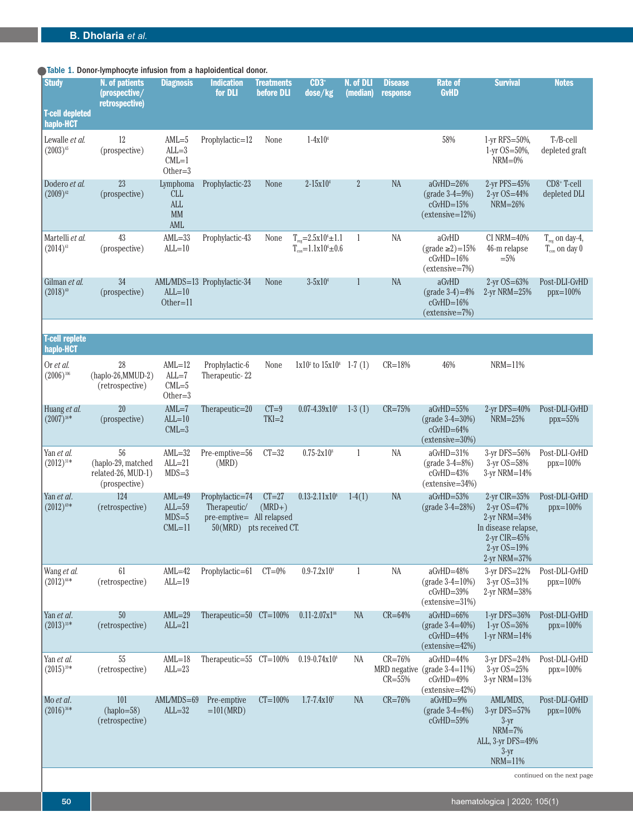# Table 1. Donor-lymphocyte infusion from a haploidentical donor.

| <b>Study</b>                         | N. of patients<br>(prospective/<br>retrospective)               | <b>Diagnosis</b>                                  | <b>Indication</b><br>for DLI                                            | <b>Treatments</b><br><b>before DLI</b>  | CD <sub>3</sub><br>dose/kg                                              | N. of DLI<br>(median) | <b>Disease</b><br>response | <b>Rate of</b><br><b>GvHD</b>                                                     | <b>Survival</b>                                                                                                                | <b>Notes</b>                                |
|--------------------------------------|-----------------------------------------------------------------|---------------------------------------------------|-------------------------------------------------------------------------|-----------------------------------------|-------------------------------------------------------------------------|-----------------------|----------------------------|-----------------------------------------------------------------------------------|--------------------------------------------------------------------------------------------------------------------------------|---------------------------------------------|
| <b>T-cell depleted</b><br>haplo-HCT  |                                                                 |                                                   |                                                                         |                                         |                                                                         |                       |                            |                                                                                   |                                                                                                                                |                                             |
| Lewalle et al.<br>$(2003)^{65}$      | 12<br>(prospective)                                             | $AML=5$<br>$ALL=3$<br>$CML=1$<br>$Other=3$        | Prophylactic=12                                                         | None                                    | $1-4x104$                                                               |                       |                            | 58%                                                                               | 1-yr $RFS = 50\%$ ,<br>1-yr $OS = 50\%$ ,<br>$NRM=0%$                                                                          | T-/B-cell<br>depleted graft                 |
| Dodero et al.<br>$(2009)^{62}$       | 23<br>(prospective)                                             | Lymphoma<br><b>CLL</b><br>ALL<br><b>MM</b><br>AML | Prophylactic-23                                                         | <b>None</b>                             | $2 - 15x104$                                                            | $\overline{2}$        | <b>NA</b>                  | $aGvHD=26%$<br>$\text{(grade } 3-4=9\%)$<br>$cGvHD=15%$<br>$(extensive=12\%)$     | $2$ -yr PFS= $45\%$<br>2-yr $OS = 44\%$<br>$NRM=26%$                                                                           | CD8+ T-cell<br>depleted DLI                 |
| Martelli et al.<br>$(2014)^{61}$     | 43<br>(prospective)                                             | $AML=33$<br>$ALL=10$                              | Prophylactic-43                                                         | None                                    | $T_{reg} = 2.5x10^{6} \pm 1.1$<br>$T_{\text{con}} = 1.1x10^{6} \pm 0.6$ | 1                     | NA                         | aGvHD<br>$(\text{grade } \geq 2) = 15\%$<br>$cGvHD=16%$<br>(extensive=7%)         | $CI NRM=40%$<br>46-m relapse<br>$=5%$                                                                                          | $T_{reg}$ on day-4,<br>$T_{con}$ on day $0$ |
| Gilman et al.<br>$(2018)^{60}$       | 34<br>(prospective)                                             | $ALL=10$<br>$Other=11$                            | AML/MDS=13 Prophylactic-34                                              | <b>None</b>                             | $3 - 5 \times 10^4$                                                     |                       | <b>NA</b>                  | aGvHD<br>$(grade 3-4)=4%$<br>$cGvHD = 16%$<br>(extensive=7%)                      | $2$ -yr OS=63%<br>$2$ -yr NRM= $25%$                                                                                           | Post-DLI-GvHD<br>$ppx=100%$                 |
| <b>T-cell replete</b>                |                                                                 |                                                   |                                                                         |                                         |                                                                         |                       |                            |                                                                                   |                                                                                                                                |                                             |
| haplo-HCT                            |                                                                 |                                                   |                                                                         |                                         |                                                                         |                       |                            |                                                                                   |                                                                                                                                |                                             |
| Or et al.<br>$(2006)^{106}$          | 28<br>$(haplo-26, MMUD-2)$<br>(retrospective)                   | $AML=12$<br>$ALL=7$<br>$CML=5$<br>Other= $3$      | Prophylactic-6<br>Therapeutic-22                                        | None                                    | $1x10^2$ to $15x10^8$ 1-7 (1)                                           |                       | $CR = 18%$                 | 46%                                                                               | $NRM=11%$                                                                                                                      |                                             |
| Huang et al.<br>$(2007)^{38*}$       | 20<br>(prospective)                                             | $AML=7$<br>$ALL=10$<br>$CML=3$                    | Therapeutic=20                                                          | $CT=9$<br>$TKI = 2$                     | $0.07 - 4.39 \times 10^8$                                               | $1-3(1)$              | $CR = 75%$                 | $aGvHD = 55%$<br>$(grade 3-4=30%)$<br>$cGvHD = 64\%$<br>(extensive=30%)           | $2$ -yr DFS= $40\%$<br>$NRM=25%$                                                                                               | Post-DLI-GvHD<br>$ppx=55%$                  |
| Yan <i>et al</i> .<br>$(2012)^{31*}$ | 56<br>(haplo-29, matched<br>related-26, MUD-1)<br>(prospective) | $AML=32$<br>$ALL=21$<br>$MDS=3$                   | Pre-emptive=56<br>(MRD)                                                 | $CT=32$                                 | $0.75 - 2x10$ <sup>8</sup>                                              | 1                     | NA                         | $aGvHD=31%$<br>$(grade 3-4=8%)$<br>$cGvHD = 43%$<br>$(extensive = 34\%)$          | 3-yr DFS=56%<br>$3-yr$ OS= $58%$<br>3-yr NRM=14%                                                                               | Post-DLI-GvHD<br>$ppx=100%$                 |
| Yan et al.<br>$(2012)^{69*}$         | 124<br>(retrospective)                                          | $AML=49$<br>$ALL = 59$<br>$MDS=5$<br>$CML=11$     | Prophylactic=74<br>Therapeutic/<br>pre-emptive= All relapsed<br>50(MRD) | $CT=27$<br>$(MRD+)$<br>pts received CT. | $0.13 - 2.11x10s$                                                       | $1-4(1)$              | <b>NA</b>                  | aGvHD=53%<br>${\rm (grade\ 3-4=28\%)}$                                            | $2$ -yr CIR= $35\%$<br>$2-yr$ OS=47%<br>2-yr NRM=34%<br>In disease relapse,<br>2-yr CIR=45%<br>$2-yr OS = 19%$<br>2-yr NRM=37% | Post-DLI-GvHD<br>$ppx=100%$                 |
| Wang et al.<br>$(2012)^{66*}$        | 61<br>(retrospective)                                           | $AML=42$<br>$ALL=19$                              | Prophylactic=61                                                         | $CT=0%$                                 | $0.9 - 7.2 \times 10^8$                                                 | 1                     | NA                         | aGvHD=48%<br>$(grade 3-4=10%$<br>$cGvHD = 39%$<br>$(extensive=31\%)$              | $3$ -yr DFS= $22\%$<br>$3-yr$ OS= $31\%$<br>2-yr NRM=38%                                                                       | Post-DLI-GvHD<br>$ppx=100%$                 |
| Yan et al.<br>$(2013)^{33*}$         | 50<br>(retrospective)                                           | $AML=29$<br>$ALL=21$                              | Therapeutic=50 CT=100%                                                  |                                         | $0.11 - 2.07 \times 1$ <sup>08</sup>                                    | <b>NA</b>             | $CR = 64%$                 | aGvHD=66%<br>$\text{(grade }3-4=40\%)$<br>$cGvHD = 44%$<br>(extensive=42%)        | $1$ -yr DFS= $36\%$<br>1-yr $OS = 36\%$<br>$1$ -yr NRM= $14\%$                                                                 | Post-DLI-GvHD<br>$ppx=100%$                 |
| Yan <i>et al.</i><br>$(2015)^{39*}$  | 55<br>(retrospective)                                           | $AML=18$<br>$ALL=23$                              | Therapeutic= $55$ CT= $100\%$                                           |                                         | $0.19 - 0.74 \times 10^8$                                               | NA                    | $CR = 76%$<br>$CR = 55%$   | aGvHD=44%<br>MRD negative (grade $3-4=11\%$ )<br>$cGvHD = 49%$<br>(extensive=42%) | 3-yr DFS=24%<br>$3-yr$ OS= $25\%$<br>3-yr NRM=13%                                                                              | Post-DLI-GvHD<br>$ppx=100%$                 |
| Mo et al.<br>$(2016)^{36*}$          | 101<br>$(haplo=58)$<br>(retrospective)                          | AML/MDS=69<br>$ALL=32$                            | Pre-emptive<br>$=101(MRD)$                                              | $CT = 100%$                             | $1.7 - 7.4 \times 10^7$                                                 | <b>NA</b>             | $CR = 76%$                 | $aGvHD=9%$<br>$\text{(grade } 3-4=4\%)$<br>$cGvHD = 59%$                          | AML/MDS,<br>3-yr DFS=57%<br>$3-yr$<br>$NRM=7%$<br>ALL, 3-yr DFS=49%                                                            | Post-DLI-GvHD<br>$ppx=100%$                 |
|                                      |                                                                 |                                                   |                                                                         |                                         |                                                                         |                       |                            |                                                                                   | $3-yr$<br>NRM=11%                                                                                                              |                                             |
|                                      |                                                                 |                                                   |                                                                         |                                         |                                                                         |                       |                            |                                                                                   |                                                                                                                                | continued on the next page                  |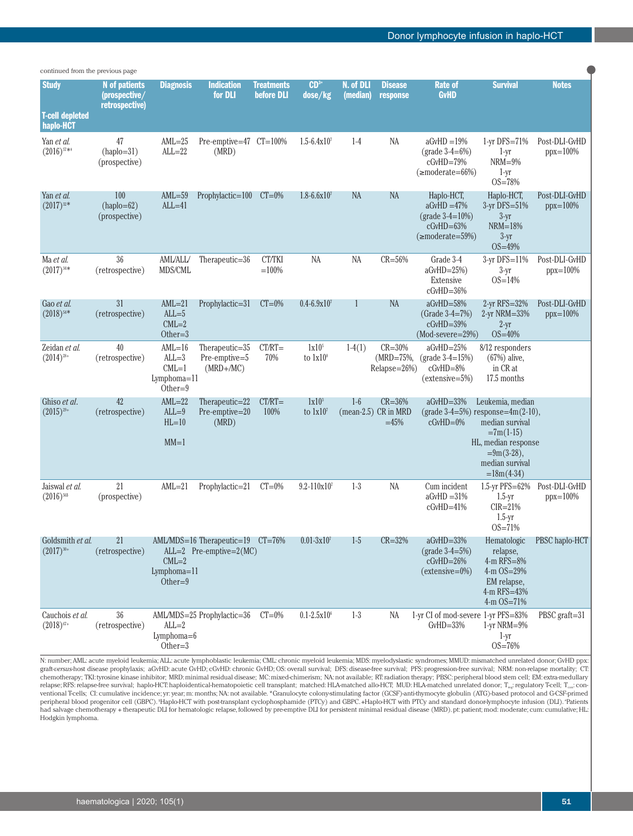| continued from the previous page                    |                                                  |                                                               |                                                                  |                                        |                                           |                       |                                              |                                                                                                     |                                                                                                            |                               |
|-----------------------------------------------------|--------------------------------------------------|---------------------------------------------------------------|------------------------------------------------------------------|----------------------------------------|-------------------------------------------|-----------------------|----------------------------------------------|-----------------------------------------------------------------------------------------------------|------------------------------------------------------------------------------------------------------------|-------------------------------|
| <b>Study</b><br><b>T-cell depleted</b><br>haplo-HCT | N of patients<br>(prospective/<br>retrospective) | <b>Diagnosis</b>                                              | <b>Indication</b><br>for DLI                                     | <b>Treatments</b><br><b>before DLI</b> | $CD3+$<br>dose/kg                         | N. of DLI<br>(median) | <b>Disease</b><br>response                   | <b>Rate of</b><br><b>GvHD</b>                                                                       | <b>Survival</b>                                                                                            | <b>Notes</b>                  |
| Yan et al.<br>$(2016)^{57**}$                       | 47<br>$(haplo=31)$<br>(prospective)              | $AML=25$<br>$ALL=22$                                          | Pre-emptive= $47$ CT= $100\%$<br>(MRD)                           |                                        | $1.5 - 6.4 \times 10^7$                   | $1-4$                 | NA                                           | $aGvHD = 19%$<br>$(grade 3-4=6%)$<br>$cGvHD = 79%$<br>$(\geq \text{moderate}=66\%)$                 | $1-yr$ DFS= $71%$<br>$1-yr$<br>$NRM=9%$<br>1-yr<br>$OS = 78%$                                              | Post-DLI-GvHD<br>$ppx = 100%$ |
| Yan et al.<br>$(2017)^{32*}$                        | 100<br>$(haplo=62)$<br>(prospective)             | $AML = 59$<br>$ALL=41$                                        | Prophylactic=100                                                 | $CT=0%$                                | $1.8 - 6.6 \times 10^7$                   | <b>NA</b>             | <b>NA</b>                                    | Haplo-HCT,<br>$aGvHD = 47\%$<br>$(grade 3-4=10%)$<br>$cGvHD = 63%$<br>$(\geq \text{moderate}=59\%)$ | Haplo-HCT,<br>$3$ -yr DFS= $51\%$<br>$3-yr$<br>NRM=18%<br>$3-yr$<br>$OS = 49%$                             | Post-DLI-GvHD<br>$ppx = 100%$ |
| Ma et al.<br>$(2017)^{34*}$                         | 36<br>(retrospective)                            | AML/ALL/<br>MDS/CML                                           | Therapeutic=36                                                   | CT/TKI<br>$=100%$                      | NA                                        | NA                    | $CR = 56%$                                   | Grade 3-4<br>$aGvHD=25%$<br>Extensive<br>$cGvHD = 36%$                                              | 3-yr DFS=11%<br>$3-yr$<br>$OS = 14%$                                                                       | Post-DLI-GvHD<br>$ppx=100%$   |
| Gao et al.<br>$(2018)^{54*}$                        | 31<br>(retrospective)                            | $AML=21$<br>$ALL=5$<br>$CML=2$<br>Other= $3$                  | Prophylactic=31                                                  | $CT=0%$                                | $0.4 - 6.9 \times 10^{7}$                 |                       | <b>NA</b>                                    | aGvHD=58%<br>$(Grade 3-4=7%)$<br>$cGvHD=39%$<br>$(Mod\text{-}severe=29%)$                           | 2-yr RFS=32%<br>2-yr NRM=33%<br>$2-yr$<br>$OS = 40%$                                                       | Post-DLI-GvHD<br>$ppx=100%$   |
| Zeidan et al.<br>$(2014)^{28+}$                     | 40<br>(retrospective)                            | $AML=16$<br>$ALL=3$<br>$CML=1$<br>$Lymphona=11$<br>Other= $9$ | Therapeutic=35<br>Pre-emptive=5<br>$(MRD+/MC)$                   | $CT/RT =$<br>70%                       | 1x10 <sup>5</sup><br>to 1x10 <sup>8</sup> | $1-4(1)$              | $CR = 30%$<br>(MRD=75%,<br>Relapse=26%)      | $aGvHD = 25%$<br>$\text{(grade }3-4=15\%)$<br>$cGvHD=8%$<br>$(extensive=5\%)$                       | 8/12 responders<br>$(67%)$ alive,<br>in CR at<br>17.5 months                                               |                               |
| Ghiso et al.<br>$(2015)^{29+}$                      | 42<br>(retrospective)                            | $AML=22$<br>$ALL=9$<br>$HL=10$                                | Therapeutic=22<br>Pre-emptive=20<br>(MRD)                        | $CT/RT =$<br>100%                      | 1x10 <sup>3</sup><br>to $1x107$           | $1-6$                 | $CR = 36%$<br>(mean-2.5) CR in MRD<br>$=45%$ | aGvHD=33%<br>$cGvHD=0%$                                                                             | Leukemia, median<br>(grade $3-4=5\%$ ) response= $4m(2-10)$ ,<br>median survival                           |                               |
|                                                     |                                                  | $MM=1$                                                        |                                                                  |                                        |                                           |                       |                                              |                                                                                                     | $=7m(1-15)$<br>HL, median response<br>$=9m(3-28),$<br>median survival<br>$= 18m(4-34)$                     |                               |
| Jaiswal et al.<br>$(2016)^{565}$                    | 21<br>(prospective)                              | $AML=21$                                                      | Prophylactic=21                                                  | $CT=0%$                                | $9.2 - 110 \times 10^7$                   | $1-3$                 | NA                                           | Cum incident<br>$aGvHD = 31%$<br>$cGvHD=41%$                                                        | 1.5-yr PFS=62%<br>$1.5-yr$<br>$CIR = 21%$<br>$1.5-yr$<br>$OS = 71%$                                        | Post-DLI-GvHD<br>$ppx = 100%$ |
| Goldsmith et al.<br>$(2017)^{30+}$                  | 21<br>(retrospective)                            | $CML=2$<br>Lymphoma=11<br>Other= $9$                          | AML/MDS=16 Therapeutic=19 CT=76%<br>$ALL=2$ Pre-emptive= $2(MC)$ |                                        | $0.01 - 3x10^{7}$                         | $1-5$                 | $CR = 32%$                                   | aGvHD=33%<br>$\text{(grade 3-4=5%)}$<br>$cGvHD=26%$<br>(extensive=0%)                               | Hematologic<br>relapse,<br>4-m $RFS = 8%$<br>4-m $OS = 29\%$<br>EM relapse,<br>4-m RFS=43%<br>4-m $OS=71%$ | PBSC haplo-HCT                |
| Cauchois et al.<br>$(2018)^{67+}$                   | 36<br>(retrospective)                            | $ALL=2$<br>Lymphoma=6<br>Other= $3$                           | $AMLMDS = 25$ Prophylactic=36                                    | $CT=0%$                                | $0.1 - 2.5 \times 10^6$                   | $1-3$                 | NA                                           | 1-yr CI of mod-severe 1-yr PFS=83%<br>$GvHD = 33%$                                                  | $1$ -yr NRM $=$ 9%<br>$1-yr$<br>$OS = 76%$                                                                 | PBSC graft=31                 |

N: number, AML: acute myeloid leukemia; ALL: acute lymphoblastic leukemia; CML: chronic myeloid leukemia; MDS: myelodyslastic syndromes; MMUD: mismatched unrelated donor; GvHD ppx:<br>graft*-versus*-host disease prophylaxis; chemotherapy; TKI:tyrosine kinase inhibitor; MRD:minimal residual disease; MC:mixed-chimerism; NA:not available; RT:radiation therapy; PBSC:peripheral blood stem cell; EM:extra-medullary relapse; RFS: relapse-free survival; haplo-HCT: haploidentical-hematopoietic cell transplant; matched: HLA-matched allo-HCT; MUD: HLA-matched unrelated donor; Treg: regulatory T-cell; Tconventional T-cells; CI: cumulative incidence; yr: year; m: months; NA: not available. \*Granulocyte colony-stimulating factor (GCSF)-anti-thymocyte globulin (ATG)-based protocol and G-CSF-primed peripheral blood progenitor cell (GBPC). Haplo-HCT with post-transplant cyclophosphamide (PTCy) and GBPC. +Haplo-HCT with PTCy and standard donor-lymphocyte infusion (DLI). "Patients had salvage chemotherapy + therapeutic DLI for hematologic relapse, followed by pre-emptive DLI for persistent minimal residual disease (MRD). pt: patient; mod: moderate; cum: cumulative; HL: Hodgkin lymphoma.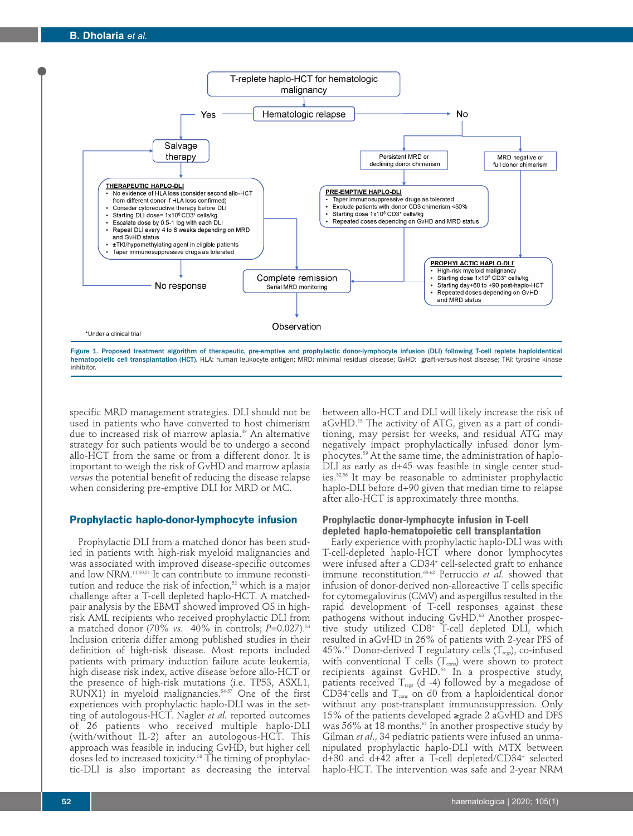



specific MRD management strategies. DLI should not be used in patients who have converted to host chimerism due to increased risk of marrow aplasia. <sup>49</sup> An alternative strategy for such patients would be to undergo a second allo-HCT from the same or from a different donor. It is important to weigh the risk of GvHD and marrow aplasia *versus* the potential benefit of reducing the disease relapse when considering pre-emptive DLI for MRD or MC.

## **Prophylactic haplo-donor-lymphocyte infusion**

Prophylactic DLI from a matched donor has been studied in patients with high-risk myeloid malignancies and was associated with improved disease-specific outcomes and low NRM. 11,50,51 It can contribute to immune reconstitution and reduce the risk of infection, <sup>52</sup> which is a major challenge after a T-cell depleted haplo-HCT. A matchedpair analysis by the EBMT showed improved OS in highrisk AML recipients who received prophylactic DLI from a matched donor (70% *vs.* 40% in controls; *P*=0.027). 53 Inclusion criteria differ among published studies in their definition of high-risk disease. Most reports included patients with primary induction failure acute leukemia, high disease risk index, active disease before allo-HCT or the presence of high-risk mutations (i.e. TP53, ASXL1, RUNX1) in myeloid malignancies. 54-57 One of the first experiences with prophylactic haplo-DLI was in the setting of autologous-HCT. Nagler *et al.* reported outcomes of 26 patients who received multiple haplo-DLI (with/without IL-2) after an autologous-HCT. This approach was feasible in inducing GvHD, but higher cell doses led to increased toxicity. <sup>58</sup> The timing of prophylactic-DLI is also important as decreasing the interval

between allo-HCT and DLI will likely increase the risk of aGvHD. <sup>13</sup> The activity of ATG, given as a part of conditioning, may persist for weeks, and residual ATG may negatively impact prophylactically infused donor lymphocytes. <sup>59</sup> At the same time, the administration of haplo-DLI as early as d+45 was feasible in single center studies. 32,56 It may be reasonable to administer prophylactic haplo-DLI before d+90 given that median time to relapse after allo-HCT is approximately three months.

## **Prophylactic donor-lymphocyte infusion in T-cell depleted haplo-hematopoietic cell transplantation**

Early experience with prophylactic haplo-DLI was with T-cell-depleted haplo-HCT where donor lymphocytes were infused after a CD34<sup>+</sup> cell-selected graft to enhance immune reconstitution. 60-62 Perruccio *et al.* showed that infusion of donor-derived non-alloreactive T cells specific for cytomegalovirus (CMV) and aspergillus resulted in the rapid development of T-cell responses against these pathogens without inducing GvHD. <sup>63</sup> Another prospective study utilized CD8+ T-cell depleted DLI, which resulted in aGvHD in 26% of patients with 2-year PFS of 45%. $^{\rm 62}$  Donor-derived T regulatory cells (T $_{\rm regs}$ ), co-infused with conventional  $T$  cells  $(T_{\text{cons}})$  were shown to protect recipients against GvHD. <sup>64</sup> In a prospective study, patients received  $T_{\text{reg}}$  (d -4) followed by a megadose of CD34+cells and  $T_{\text{cons}}$  on d0 from a haploidentical donor without any post-transplant immunosuppression. Only 15% of the patients developed ≥grade 2 aGvHD and DFS was 56% at 18 months. <sup>61</sup> In another prospective study by Gilman *et al*., 34 pediatric patients were infused an unmanipulated prophylactic haplo-DLI with MTX between d+30 and d+42 after a T-cell depleted/CD34+ selected haplo-HCT. The intervention was safe and 2-year NRM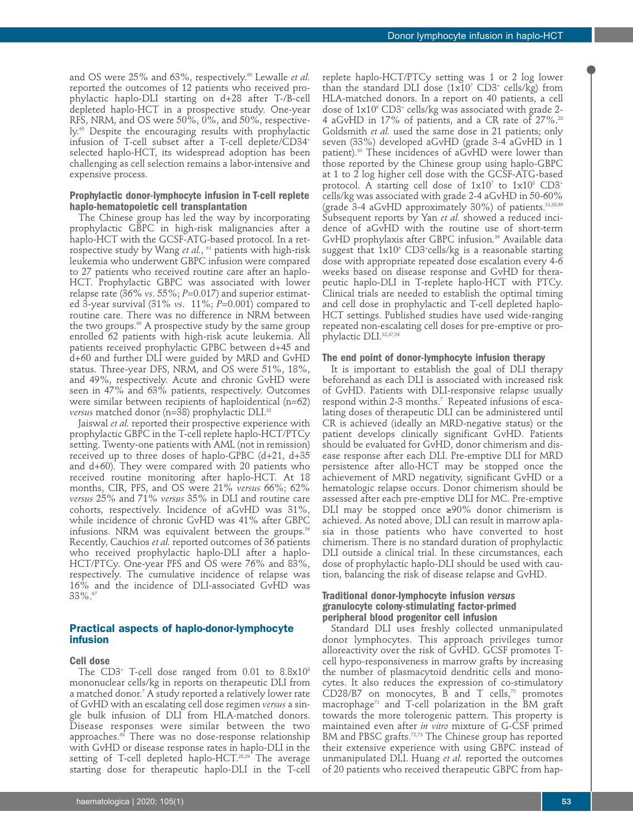and OS were 25% and 63%, respectively. <sup>60</sup> Lewalle *et al.* reported the outcomes of 12 patients who received prophylactic haplo-DLI starting on d+28 after T-/B-cell depleted haplo-HCT in a prospective study. One-year RFS, NRM, and OS were 50%, 0%, and 50%, respectively. <sup>65</sup> Despite the encouraging results with prophylactic infusion of T-cell subset after a T-cell deplete/CD34+ selected haplo-HCT, its widespread adoption has been challenging as cell selection remains a labor-intensive and expensive process.

## **Prophylactic donor-lymphocyte infusion in T-cell replete haplo-hematopoietic cell transplantation**

The Chinese group has led the way by incorporating prophylactic GBPC in high-risk malignancies after a haplo-HCT with the GCSF-ATG-based protocol. In a retrospective study by Wang *et al.*, <sup>61</sup> patients with high-risk leukemia who underwent GBPC infusion were compared to 27 patients who received routine care after an haplo-HCT. Prophylactic GBPC was associated with lower relapse rate (36% *vs*. 55%; *P*=0.017) and superior estimated 3-year survival (31% *vs*. 11%; *P*=0.001) compared to routine care. There was no difference in NRM between the two groups. <sup>66</sup> A prospective study by the same group enrolled 62 patients with high-risk acute leukemia. All patients received prophylactic GPBC between d+45 and d+60 and further DLI were guided by MRD and GvHD status. Three-year DFS, NRM, and OS were 51%, 18%, and 49%, respectively. Acute and chronic GvHD were seen in 47% and 63% patients, respectively. Outcomes were similar between recipients of haploidentical (n=62) *versus* matched donor (n=38) prophylactic DLI. 32

Jaiswal *et al.* reported their prospective experience with prophylactic GBPC in the T-cell replete haplo-HCT/PTCy setting. Twenty-one patients with AML (not in remission) received up to three doses of haplo-GPBC (d+21, d+35 and d+60). They were compared with 20 patients who received routine monitoring after haplo-HCT. At 18 months, CIR, PFS, and OS were 21% *versus* 66%; 62% *versus* 25% and 71% *versus* 35% in DLI and routine care cohorts, respectively. Incidence of aGvHD was 31%, while incidence of chronic GvHD was 41% after GBPC infusions. NRM was equivalent between the groups. 56 Recently, Cauchios *et al.* reported outcomes of 36 patients who received prophylactic haplo-DLI after a haplo-HCT/PTCy. One-year PFS and OS were 76% and 83%, respectively. The cumulative incidence of relapse was 16% and the incidence of DLI-associated GvHD was 33%. 67

## **Practical aspects of haplo-donor-lymphocyte infusion**

#### **Cell dose**

The  $CD3^+$  T-cell dose ranged from 0.01 to 8.8x10<sup>8</sup> mononuclear cells/kg in reports on therapeutic DLI from a matched donor. <sup>7</sup> A study reported a relatively lower rate of GvHD with an escalating cell dose regimen *versus* a single bulk infusion of DLI from HLA-matched donors. Disease responses were similar between the two approaches. <sup>68</sup> There was no dose-response relationship with GvHD or disease response rates in haplo-DLI in the setting of T-cell depleted haplo-HCT. 28,29 The average starting dose for therapeutic haplo-DLI in the T-cell

replete haplo-HCT/PTCy setting was 1 or 2 log lower than the standard DLI dose  $(1x10^7 \text{ CD3}^+ \text{ cells/kg})$  from HLA-matched donors. In a report on 40 patients, a cell dose of  $1x10^{\circ}$  CD3<sup>+</sup> cells/kg was associated with grade 2-4 aGvHD in 17% of patients, and a CR rate of 27%. 28 Goldsmith *et al.* used the same dose in 21 patients; only seven (33%) developed aGvHD (grade 3-4 aGvHD in 1 patient). <sup>30</sup> These incidences of aGvHD were lower than those reported by the Chinese group using haplo-GBPC at 1 to 2 log higher cell dose with the GCSF-ATG-based protocol. A starting cell dose of  $1x10^7$  to  $1x10^8$  CD3<sup>+</sup> cells/kg was associated with grade 2-4 aGvHD in 50-60% (grade 3-4 aGvHD approximately 30%) of patients. 31,38,69 Subsequent reports by Yan *et al.* showed a reduced incidence of aGvHD with the routine use of short-term GvHD prophylaxis after GBPC infusion. <sup>39</sup> Available data suggest that 1x106 CD3+ cells/kg is a reasonable starting dose with appropriate repeated dose escalation every 4-6 weeks based on disease response and GvHD for therapeutic haplo-DLI in T-replete haplo-HCT with PTCy. Clinical trials are needed to establish the optimal timing and cell dose in prophylactic and T-cell depleted haplo-HCT settings. Published studies have used wide-ranging repeated non-escalating cell doses for pre-emptive or prophylactic DLI. 32,37,54

#### **The end point of donor-lymphocyte infusion therapy**

It is important to establish the goal of DLI therapy beforehand as each DLI is associated with increased risk of GvHD. Patients with DLI-responsive relapse usually respond within 2-3 months. <sup>7</sup> Repeated infusions of escalating doses of therapeutic DLI can be administered until CR is achieved (ideally an MRD-negative status) or the patient develops clinically significant GvHD. Patients should be evaluated for GvHD, donor chimerism and disease response after each DLI. Pre-emptive DLI for MRD persistence after allo-HCT may be stopped once the achievement of MRD negativity, significant GvHD or a hematologic relapse occurs. Donor chimerism should be assessed after each pre-emptive DLI for MC. Pre-emptive DLI may be stopped once ≥90% donor chimerism is achieved. As noted above, DLI can result in marrow aplasia in those patients who have converted to host chimerism. There is no standard duration of prophylactic DLI outside a clinical trial. In these circumstances, each dose of prophylactic haplo-DLI should be used with caution, balancing the risk of disease relapse and GvHD.

## **Traditional donor-lymphocyte infusion** *versus* **granulocyte colony-stimulating factor-primed peripheral blood progenitor cell infusion**

Standard DLI uses freshly collected unmanipulated donor lymphocytes. This approach privileges tumor alloreactivity over the risk of GvHD. GCSF promotes Tcell hypo-responsiveness in marrow grafts by increasing the number of plasmacytoid dendritic cells and monocytes. It also reduces the expression of co-stimulatory CD28/B7 on monocytes, B and T cells,<sup>70</sup> promotes macrophage<sup>71</sup> and T-cell polarization in the BM graft towards the more tolerogenic pattern. This property is maintained even after *in vitro* mixture of G-CSF primed BM and PBSC grafts.<sup>72,73</sup> The Chinese group has reported their extensive experience with using GBPC instead of unmanipulated DLI. Huang *et al.* reported the outcomes of 20 patients who received therapeutic GBPC from hap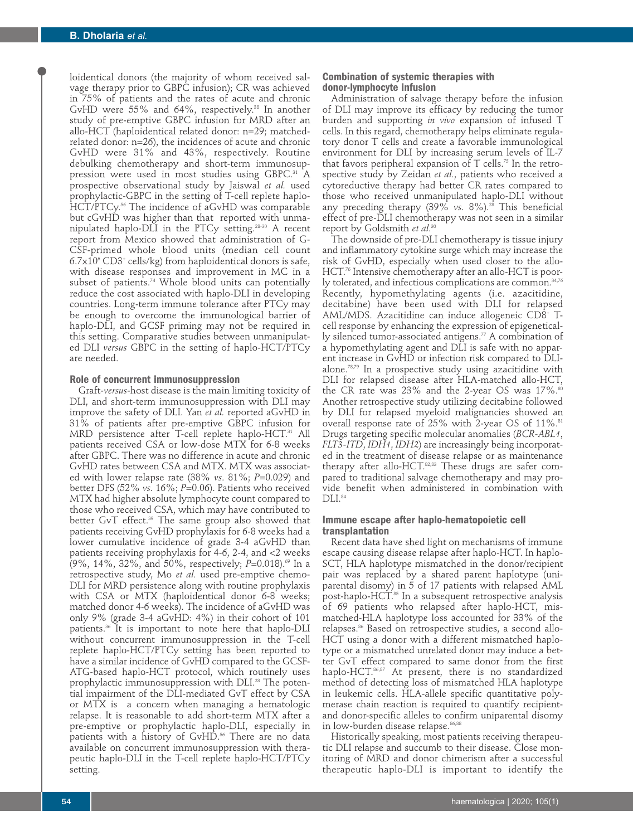loidentical donors (the majority of whom received salvage therapy prior to GBPC infusion); CR was achieved in 75% of patients and the rates of acute and chronic GvHD were 55% and 64%, respectively. <sup>38</sup> In another study of pre-emptive GBPC infusion for MRD after an allo-HCT (haploidentical related donor: n=29; matchedrelated donor: n=26), the incidences of acute and chronic GvHD were 31% and 43%, respectively. Routine debulking chemotherapy and short-term immunosuppression were used in most studies using GBPC. <sup>31</sup> A prospective observational study by Jaiswal *et al.* used prophylactic-GBPC in the setting of T-cell replete haplo-HCT/PTCy. <sup>56</sup> The incidence of aGvHD was comparable but cGvHD was higher than that reported with unmanipulated haplo-DLI in the PTCy setting. 28-30 A recent report from Mexico showed that administration of G-CSF-primed whole blood units (median cell count  $6.7x10^{\circ}$  CD3<sup>+</sup> cells/kg) from haploidentical donors is safe, with disease responses and improvement in MC in a subset of patients. <sup>74</sup> Whole blood units can potentially reduce the cost associated with haplo-DLI in developing countries. Long-term immune tolerance after PTCy may be enough to overcome the immunological barrier of haplo-DLI, and GCSF priming may not be required in this setting. Comparative studies between unmanipulated DLI *versus* GBPC in the setting of haplo-HCT/PTCy are needed.

#### **Role of concurrent immunosuppression**

Graft-*versus*-host disease is the main limiting toxicity of DLI, and short-term immunosuppression with DLI may improve the safety of DLI. Yan *et al.* reported aGvHD in 31% of patients after pre-emptive GBPC infusion for MRD persistence after T-cell replete haplo-HCT. <sup>31</sup> All patients received CSA or low-dose MTX for 6-8 weeks after GBPC. There was no difference in acute and chronic GvHD rates between CSA and MTX. MTX was associated with lower relapse rate (38% *vs*. 81%; *P*=0.029) and better DFS (52% *vs*. 16%; *P*=0.06). Patients who received MTX had higher absolute lymphocyte count compared to those who received CSA, which may have contributed to better GvT effect. <sup>39</sup> The same group also showed that patients receiving GvHD prophylaxis for 6-8 weeks had a lower cumulative incidence of grade 3-4 aGvHD than patients receiving prophylaxis for 4-6, 2-4, and <2 weeks (9%, 14%, 32%, and 50%, respectively; *P*=0.018). <sup>69</sup> In a retrospective study, Mo *et al.* used pre-emptive chemo-DLI for MRD persistence along with routine prophylaxis with CSA or MTX (haploidentical donor 6-8 weeks; matched donor 4-6 weeks). The incidence of aGvHD was only 9% (grade 3-4 aGvHD: 4%) in their cohort of 101 patients. <sup>36</sup> It is important to note here that haplo-DLI without concurrent immunosuppression in the T-cell replete haplo-HCT/PTCy setting has been reported to have a similar incidence of GvHD compared to the GCSF-ATG-based haplo-HCT protocol, which routinely uses prophylactic immunosuppression with DLI. <sup>28</sup> The potential impairment of the DLI-mediated GvT effect by CSA or MTX is a concern when managing a hematologic relapse. It is reasonable to add short-term MTX after a pre-emptive or prophylactic haplo-DLI, especially in patients with a history of GvHD. <sup>56</sup> There are no data available on concurrent immunosuppression with therapeutic haplo-DLI in the T-cell replete haplo-HCT/PTCy setting.

## **Combination of systemic therapies with donor-lymphocyte infusion**

Administration of salvage therapy before the infusion of DLI may improve its efficacy by reducing the tumor burden and supporting *in vivo* expansion of infused T cells. In this regard, chemotherapy helps eliminate regulatory donor T cells and create a favorable immunological environment for DLI by increasing serum levels of IL-7 that favors peripheral expansion of T cells. $\cdot$  In the retrospective study by Zeidan *et al.*, patients who received a cytoreductive therapy had better CR rates compared to those who received unmanipulated haplo-DLI without any preceding therapy (39% *vs*. 8%). <sup>28</sup> This beneficial effect of pre-DLI chemotherapy was not seen in a similar report by Goldsmith *et al*. 30

The downside of pre-DLI chemotherapy is tissue injury and inflammatory cytokine surge which may increase the risk of GvHD, especially when used closer to the allo-HCT. <sup>76</sup> Intensive chemotherapy after an allo-HCT is poorly tolerated, and infectious complications are common. 34,76 Recently, hypomethylating agents (i.e. azacitidine, decitabine) have been used with DLI for relapsed AML/MDS. Azacitidine can induce allogeneic CD8+ Tcell response by enhancing the expression of epigenetically silenced tumor-associated antigens. <sup>77</sup> A combination of a hypomethylating agent and DLI is safe with no apparent increase in GvHD or infection risk compared to DLIalone. 78,79 In a prospective study using azacitidine with DLI for relapsed disease after HLA-matched allo-HCT, the CR rate was 23% and the 2-year OS was 17%. 80 Another retrospective study utilizing decitabine followed by DLI for relapsed myeloid malignancies showed an overall response rate of 25% with 2-year OS of 11%. 81 Drugs targeting specific molecular anomalies (*BCR-ABL1*, *FLT3-ITD*, *IDH1*, *IDH2*) are increasingly being incorporated in the treatment of disease relapse or as maintenance therapy after allo-HCT. 82,83 These drugs are safer compared to traditional salvage chemotherapy and may provide benefit when administered in combination with DLI. 84

## **Immune escape after haplo-hematopoietic cell transplantation**

Recent data have shed light on mechanisms of immune escape causing disease relapse after haplo-HCT. In haplo-SCT, HLA haplotype mismatched in the donor/recipient pair was replaced by a shared parent haplotype (uniparental disomy) in 5 of 17 patients with relapsed AML post-haplo-HCT. <sup>85</sup> In a subsequent retrospective analysis of 69 patients who relapsed after haplo-HCT, mismatched-HLA haplotype loss accounted for 33% of the relapses. <sup>86</sup> Based on retrospective studies, a second allo-HCT using a donor with a different mismatched haplotype or a mismatched unrelated donor may induce a better GvT effect compared to same donor from the first haplo-HCT. 86,87 At present, there is no standardized method of detecting loss of mismatched HLA haplotype in leukemic cells. HLA-allele specific quantitative polymerase chain reaction is required to quantify recipientand donor-specific alleles to confirm uniparental disomy in low-burden disease relapse. 86,88

Historically speaking, most patients receiving therapeutic DLI relapse and succumb to their disease. Close monitoring of MRD and donor chimerism after a successful therapeutic haplo-DLI is important to identify the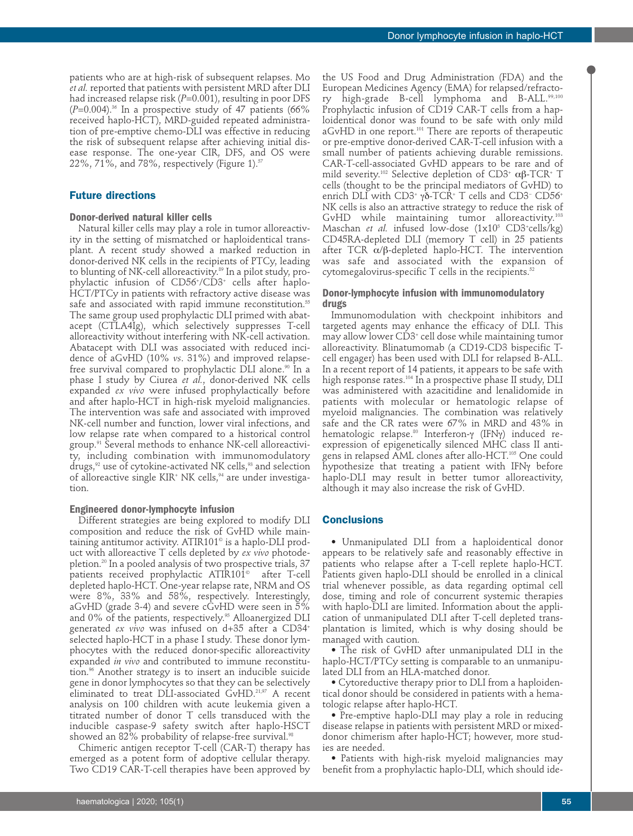patients who are at high-risk of subsequent relapses. Mo *et al.* reported that patients with persistent MRD after DLI had increased relapse risk (*P*=0.001), resulting in poor DFS (*P*=0.004). <sup>36</sup> In a prospective study of 47 patients (66% received haplo-HCT), MRD-guided repeated administration of pre-emptive chemo-DLI was effective in reducing the risk of subsequent relapse after achieving initial disease response. The one-year CIR, DFS, and OS were 22%, 71%, and 78%, respectively (Figure 1). $^{\circ}$ 

# **Future directions**

## **Donor-derived natural killer cells**

Natural killer cells may play a role in tumor alloreactivity in the setting of mismatched or haploidentical transplant. A recent study showed a marked reduction in donor-derived NK cells in the recipients of PTCy, leading to blunting of NK-cell alloreactivity. <sup>89</sup> In a pilot study, prophylactic infusion of CD56+ /CD3+ cells after haplo-HCT/PTCy in patients with refractory active disease was safe and associated with rapid immune reconstitution.<sup>55</sup> The same group used prophylactic DLI primed with abatacept (CTLA4Ig), which selectively suppresses T-cell alloreactivity without interfering with NK-cell activation. Abatacept with DLI was associated with reduced incidence of aGvHD (10% *vs*. 31%) and improved relapsefree survival compared to prophylactic DLI alone." In a phase I study by Ciurea *et al.*, donor-derived NK cells expanded *ex vivo* were infused prophylactically before and after haplo-HCT in high-risk myeloid malignancies. The intervention was safe and associated with improved NK-cell number and function, lower viral infections, and low relapse rate when compared to a historical control group. <sup>91</sup> Several methods to enhance NK-cell alloreactivity, including combination with immunomodulatory drugs, <sup>92</sup> use of cytokine-activated NK cells, <sup>93</sup> and selection of alloreactive single KIR+ NK cells, <sup>94</sup> are under investigation.

#### **Engineered donor-lymphocyte infusion**

Different strategies are being explored to modify DLI composition and reduce the risk of GvHD while maintaining antitumor activity. ATIR101<sup>®</sup> is a haplo-DLI product with alloreactive T cells depleted by *ex vivo* photodepletion. <sup>20</sup> In a pooled analysis of two prospective trials, 37 patients received prophylactic ATIR101<sup>®</sup> after T-cell depleted haplo-HCT. One-year relapse rate, NRM and OS were 8%, 33% and 58%, respectively. Interestingly, aGvHD (grade 3-4) and severe cGvHD were seen in  $\bar{5}\%$ and 0% of the patients, respectively. <sup>95</sup> Alloanergized DLI generated *ex vivo* was infused on d+35 after a CD34+ selected haplo-HCT in a phase I study. These donor lymphocytes with the reduced donor-specific alloreactivity expanded *in vivo* and contributed to immune reconstitution. <sup>96</sup> Another strategy is to insert an inducible suicide gene in donor lymphocytes so that they can be selectively eliminated to treat DLI-associated GvHD. 21,97 A recent analysis on 100 children with acute leukemia given a titrated number of donor T cells transduced with the inducible caspase-9 safety switch after haplo-HSCT showed an 82% probability of relapse-free survival. 98

Chimeric antigen receptor T-cell (CAR-T) therapy has emerged as a potent form of adoptive cellular therapy. Two CD19 CAR-T-cell therapies have been approved by the US Food and Drug Administration (FDA) and the European Medicines Agency (EMA) for relapsed/refractory high-grade B-cell lymphoma and B-ALL. 99,100 Prophylactic infusion of CD19 CAR-T cells from a haploidentical donor was found to be safe with only mild aGvHD in one report. <sup>101</sup> There are reports of therapeutic or pre-emptive donor-derived CAR-T-cell infusion with a small number of patients achieving durable remissions. CAR-T-cell-associated GvHD appears to be rare and of mild severity. $^{\text{102}}$  Selective depletion of CD3+ αβ-TCR+ T cells (thought to be the principal mediators of GvHD) to enrich DLI with CD3<sup>+</sup> γδ-TCR<sup>+</sup> T cells and CD3<sup>-</sup> CD56<sup>+</sup> NK cells is also an attractive strategy to reduce the risk of GvHD while maintaining tumor alloreactivity.<sup>103</sup> Maschan *et al.* infused low-dose (1x10<sup>5</sup> CD3<sup>+</sup>cells/kg) CD45RA-depleted DLI (memory T cell) in 25 patients after TCR α/β-depleted haplo-HCT. The intervention was safe and associated with the expansion of cytomegalovirus-specific  $T$  cells in the recipients. $52$ 

## **Donor-lymphocyte infusion with immunomodulatory drugs**

Immunomodulation with checkpoint inhibitors and targeted agents may enhance the efficacy of DLI. This may allow lower CD3+ cell dose while maintaining tumor alloreactivity. Blinatumomab (a CD19-CD3 bispecific Tcell engager) has been used with DLI for relapsed B-ALL. In a recent report of 14 patients, it appears to be safe with high response rates. <sup>104</sup> In a prospective phase II study, DLI was administered with azacitidine and lenalidomide in patients with molecular or hematologic relapse of myeloid malignancies. The combination was relatively safe and the CR rates were 67% in MRD and 43% in hematologic relapse. <sup>80</sup> Interferon-γ (IFNγ) induced reexpression of epigenetically silenced MHC class II antigens in relapsed AML clones after allo-HCT. <sup>105</sup> One could hypothesize that treating a patient with IFNγ before haplo-DLI may result in better tumor alloreactivity, although it may also increase the risk of GvHD.

## **Conclusions**

• Unmanipulated DLI from a haploidentical donor appears to be relatively safe and reasonably effective in patients who relapse after a T-cell replete haplo-HCT. Patients given haplo-DLI should be enrolled in a clinical trial whenever possible, as data regarding optimal cell dose, timing and role of concurrent systemic therapies with haplo-DLI are limited. Information about the application of unmanipulated DLI after T-cell depleted transplantation is limited, which is why dosing should be managed with caution.

• The risk of GvHD after unmanipulated DLI in the haplo-HCT/PTCy setting is comparable to an unmanipulated DLI from an HLA-matched donor.

• Cytoreductive therapy prior to DLI from a haploidentical donor should be considered in patients with a hematologic relapse after haplo-HCT.

• Pre-emptive haplo-DLI may play a role in reducing disease relapse in patients with persistent MRD or mixeddonor chimerism after haplo-HCT; however, more studies are needed.

• Patients with high-risk myeloid malignancies may benefit from a prophylactic haplo-DLI, which should ide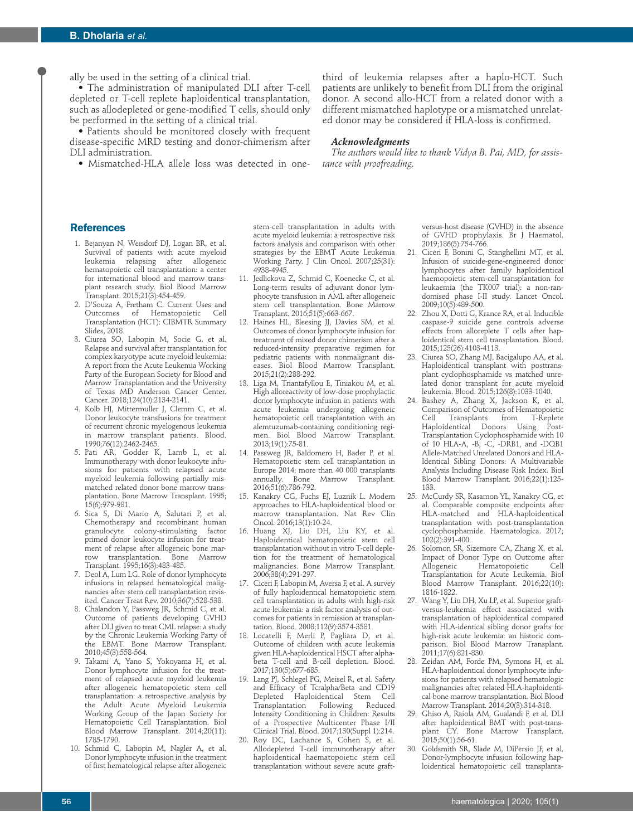ally be used in the setting of a clinical trial.

• The administration of manipulated DLI after T-cell depleted or T-cell replete haploidentical transplantation, such as allodepleted or gene-modified T cells, should only be performed in the setting of a clinical trial.

• Patients should be monitored closely with frequent disease-specific MRD testing and donor-chimerism after DLI administration.

• Mismatched-HLA allele loss was detected in one-

third of leukemia relapses after a haplo-HCT. Such patients are unlikely to benefit from DLI from the original donor. A second allo-HCT from a related donor with a different mismatched haplotype or a mismatched unrelated donor may be considered if HLA-loss is confirmed.

## *Acknowledgments*

*The authors would like to thank Vidya B. Pai, MD, for assistance with proofreading.*

## **References**

- 1. Bejanyan N, Weisdorf DJ, Logan BR, et al. Survival of patients with acute myeloid leukemia relapsing after allogeneic hematopoietic cell transplantation: a center for international blood and marrow transplant research study. Biol Blood Marrow Transplant. 2015;21(3):454-459.
- 2. D'Souza A, Fretham C. Current Uses and<br>Outcomes of Hematopoietic Cell Hematopoietic Cell Transplantation (HCT): CIBMTR Summary Slides, 2018.
- 3. Ciurea SO, Labopin M, Socie G, et al. Relapse and survival after transplantation for complex karyotype acute myeloid leukemia: A report from the Acute Leukemia Working Party of the European Society for Blood and Marrow Transplantation and the University of Texas MD Anderson Cancer Center. Cancer. 2018;124(10):2134-2141.
- 4. Kolb HJ, Mittermuller J, Clemm C, et al. Donor leukocyte transfusions for treatment of recurrent chronic myelogenous leukemia in marrow transplant patients. Blood. 1990;76(12):2462-2465.
- 5. Pati AR, Godder K, Lamb L, et al. Immunotherapy with donor leukocyte infusions for patients with relapsed acute myeloid leukemia following partially mismatched related donor bone marrow transplantation. Bone Marrow Transplant. 1995; 15(6):979-981.
- 6. Sica S, Di Mario A, Salutari P, et al. Chemotherapy and recombinant human<br>granulocyte colony-stimulating factor colony-stimulating factor primed donor leukocyte infusion for treatment of relapse after allogeneic bone mar-<br>row transplantation. Bone Marrow row transplantation. Transplant. 1995;16(3):483-485.
- 7. Deol A, Lum LG. Role of donor lymphocyte infusions in relapsed hematological malignancies after stem cell transplantation revisited. Cancer Treat Rev. 2010;36(7):528-538.
- 8. Chalandon Y, Passweg JR, Schmid C, et al. Outcome of patients developing GVHD after DLI given to treat CML relapse: a study by the Chronic Leukemia Working Party of the EBMT. Bone Marrow Transplant. 2010;45(3):558-564.
- 9. Takami A, Yano S, Yokoyama H, et al. Donor lymphocyte infusion for the treatment of relapsed acute myeloid leukemia after allogeneic hematopoietic stem cell transplantation: a retrospective analysis by the Adult Acute Myeloid Leukemia Working Group of the Japan Society for Hematopoietic Cell Transplantation. Biol Blood Marrow Transplant. 2014;20(11): 1785-1790.
- 10. Schmid C, Labopin M, Nagler A, et al. Donor lymphocyte infusion in the treatment of first hematological relapse after allogeneic

stem-cell transplantation in adults with acute myeloid leukemia: a retrospective risk factors analysis and comparison with other strategies by the EBMT Acute Leukemia Working Party. J Clin Oncol. 2007;25(31): 4938-4945.

- 11. Jedlickova Z, Schmid C, Koenecke C, et al. Long-term results of adjuvant donor lymphocyte transfusion in AML after allogeneic stem cell transplantation. Bone Marrow Transplant. 2016;51(5):663-667.
- 12. Haines HL, Bleesing JJ, Davies SM, et al. Outcomes of donor lymphocyte infusion for treatment of mixed donor chimerism after a reduced-intensity preparative regimen for pediatric patients with nonmalignant diseases. Biol Blood Marrow Transplant. 2015;21(2):288-292.
- 13. Liga M, Triantafyllou E, Tiniakou M, et al. High alloreactivity of low-dose prophylactic donor lymphocyte infusion in patients with acute leukemia undergoing allogeneic hematopoietic cell transplantation with an alemtuzumab-containing conditioning regimen. Biol Blood Marrow Transplant. 2013;19(1):75-81.
- 14. Passweg JR, Baldomero H, Bader P, et al. Hematopoietic stem cell transplantation in Europe 2014: more than 40 000 transplants<br>annually. Bone. Marrow. Transplant. annually. Bone Marrow 2016;51(6):786-792.
- 15. Kanakry CG, Fuchs EJ, Luznik L. Modern approaches to HLA-haploidentical blood or marrow transplantation. Nat Rev Clin Oncol. 2016;13(1):10-24.
- 16. Huang XJ, Liu DH, Liu KY, et al. Haploidentical hematopoietic stem cell transplantation without in vitro T-cell depletion for the treatment of hematological malignancies. Bone Marrow Transplant. 2006;38(4):291-297.
- 17. Ciceri F, Labopin M, Aversa F, et al. A survey of fully haploidentical hematopoietic stem cell transplantation in adults with high-risk acute leukemia: a risk factor analysis of outcomes for patients in remission at transplantation. Blood. 2008;112(9):3574-3581.
- 18. Locatelli F, Merli P, Pagliara D, et al. Outcome of children with acute leukemia given HLA-haploidentical HSCT after alphabeta T-cell and B-cell depletion. Blood. 2017;130(5):677-685.
- 19. Lang PJ, Schlegel PG, Meisel R, et al. Safety and Efficacy of Tcralpha/Beta and CD19 Depleted Haploidentical Stem Cell Transplantation Intensity Conditioning in Children: Results of a Prospective Multicenter Phase I/II Clinical Trial. Blood. 2017;130(Suppl 1):214.
- 20. Roy DC, Lachance S, Cohen S, et al. Allodepleted T-cell immunotherapy after haploidentical haematopoietic stem cell transplantation without severe acute graft-

versus-host disease (GVHD) in the absence of GVHD prophylaxis. Br J Haematol. 2019;186(5):754-766.

- 21. Ciceri F, Bonini C, Stanghellini MT, et al. Infusion of suicide-gene-engineered donor lymphocytes after family haploidentical haemopoietic stem-cell transplantation for leukaemia (the TK007 trial): a non-randomised phase I-II study. Lancet Oncol. 2009;10(5):489-500.
- 22. Zhou X, Dotti G, Krance RA, et al. Inducible caspase-9 suicide gene controls adverse effects from alloreplete T cells after haploidentical stem cell transplantation. Blood. 2015;125(26):4103-4113.
- 23. Ciurea SO, Zhang MJ, Bacigalupo AA, et al. Haploidentical transplant with posttransplant cyclophosphamide vs matched unrelated donor transplant for acute myeloid leukemia. Blood. 2015;126(8):1033-1040.
- 24. Bashey A, Zhang X, Jackson K, et al. Comparison of Outcomes of Hematopoietic Transplants from Haploidentical Donors Using Post-Transplantation Cyclophosphamide with 10 of 10 HLA-A, -B, -C, -DRB1, and -DQB1 Allele-Matched Unrelated Donors and HLA-Identical Sibling Donors: A Multivariable Analysis Including Disease Risk Index. Biol Blood Marrow Transplant. 2016;22(1):125- 133.
- 25. McCurdy SR, Kasamon YL, Kanakry CG, et al. Comparable composite endpoints after HLA-matched and HLA-haploidentical transplantation with post-transplantation cyclophosphamide. Haematologica. 2017; 102(2):391-400.
- 26. Solomon SR, Sizemore CA, Zhang X, et al. Impact of Donor Type on Outcome after<br>Allogeneic Hematopoietic Cell Hematopoietic Transplantation for Acute Leukemia. Biol Blood Marrow Transplant. 2016;22(10): 1816-1822.
- 27. Wang Y, Liu DH, Xu LP, et al. Superior graftversus-leukemia effect associated with transplantation of haploidentical compared with HLA-identical sibling donor grafts for high-risk acute leukemia: an historic comparison. Biol Blood Marrow Transplant. 2011;17(6):821-830.
- 28. Zeidan AM, Forde PM, Symons H, et al. HLA-haploidentical donor lymphocyte infusions for patients with relapsed hematologic malignancies after related HLA-haploidentical bone marrow transplantation. Biol Blood Marrow Transplant. 2014;20(3):314-318.
- 29. Ghiso A, Raiola AM, Gualandi F, et al. DLI after haploidentical BMT with post-transplant CY. Bone Marrow Transplant. 2015;50(1):56-61.
- 30. Goldsmith SR, Slade M, DiPersio JF, et al. Donor-lymphocyte infusion following haploidentical hematopoietic cell transplanta-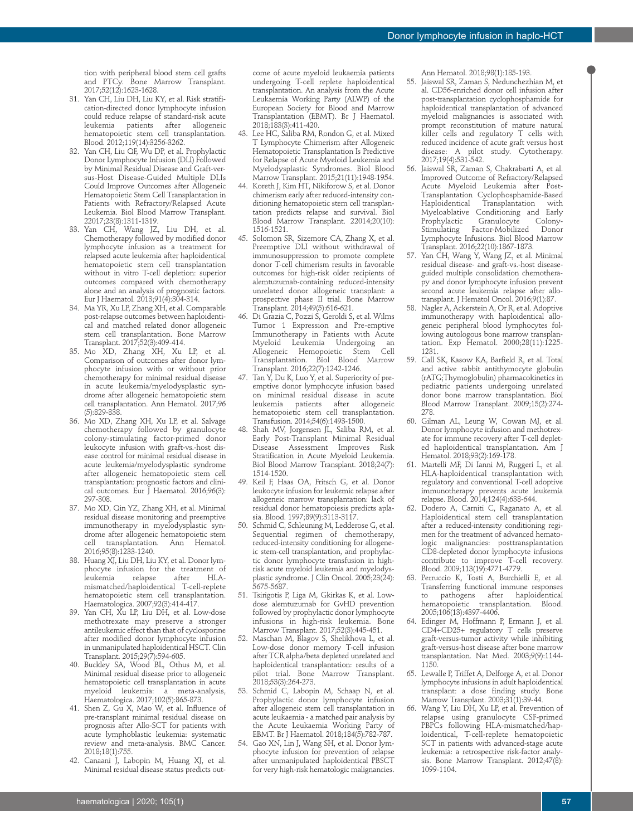tion with peripheral blood stem cell grafts and PTCy. Bone Marrow Transplant. 2017;52(12):1623-1628.

- 31. Yan CH, Liu DH, Liu KY, et al. Risk stratification-directed donor lymphocyte infusion could reduce relapse of standard-risk acute leukemia patients after allogeneic hematopoietic stem cell transplantation. Blood. 2012;119(14):3256-3262.
- 32. Yan CH, Liu QF, Wu DP, et al. Prophylactic Donor Lymphocyte Infusion (DLI) Followed by Minimal Residual Disease and Graft-versus-Host Disease-Guided Multiple DLIs Could Improve Outcomes after Allogeneic Hematopoietic Stem Cell Transplantation in Patients with Refractory/Relapsed Acute Leukemia. Biol Blood Marrow Transplant. 22017;23(8):1311-1319.
- 33. Yan CH, Wang JZ, Liu DH, et al. Chemotherapy followed by modified donor lymphocyte infusion as a treatment for relapsed acute leukemia after haploidentical hematopoietic stem cell transplantation without in vitro T-cell depletion: superior outcomes compared with chemotherapy alone and an analysis of prognostic factors. Eur J Haematol. 2013;91(4):304-314.
- 34. Ma YR, Xu LP, Zhang XH, et al. Comparable post-relapse outcomes between haploidentical and matched related donor allogeneic stem cell transplantation. Bone Marrow Transplant. 2017;52(3):409-414.
- 35. Mo XD, Zhang XH, Xu LP, et al. Comparison of outcomes after donor lymphocyte infusion with or without prior chemotherapy for minimal residual disease in acute leukemia/myelodysplastic syndrome after allogeneic hematopoietic stem cell transplantation. Ann Hematol. 2017;96 (5):829-838.
- 36. Mo XD, Zhang XH, Xu LP, et al. Salvage chemotherapy followed by granulocyte colony-stimulating factor-primed donor leukocyte infusion with graft-vs.-host disease control for minimal residual disease in acute leukemia/myelodysplastic syndrome after allogeneic hematopoietic stem cell transplantation: prognostic factors and clinical outcomes. Eur J Haematol. 2016;96(3): 297-308.
- 37. Mo XD, Qin YZ, Zhang XH, et al. Minimal residual disease monitoring and preemptive immunotherapy in myelodysplastic syndrome after allogeneic hematopoietic stem cell transplantation. Ann Hematol. 2016;95(8):1233-1240.
- 38. Huang XJ, Liu DH, Liu KY, et al. Donor lymphocyte infusion for the treatment of leukemia relapse after HLAmismatched/haploidentical T-cell-replete hematopoietic stem cell transplantation. Haematologica. 2007;92(3):414-417.
- 39. Yan CH, Xu LP, Liu DH, et al. Low-dose methotrexate may preserve a stronger antileukemic effect than that of cyclosporine after modified donor lymphocyte infusion in unmanipulated haploidentical HSCT. Clin Transplant. 2015;29(7):594-605.
- 40. Buckley SA, Wood BL, Othus M, et al. Minimal residual disease prior to allogeneic hematopoietic cell transplantation in acute myeloid leukemia: a meta-analysis, Haematologica. 2017;102(5):865-873.
- 41. Shen Z, Gu X, Mao W, et al. Influence of pre-transplant minimal residual disease on prognosis after Allo-SCT for patients with acute lymphoblastic leukemia: systematic review and meta-analysis. BMC Cancer. 2018;18(1):755.
- 42. Canaani J, Labopin M, Huang XJ, et al. Minimal residual disease status predicts out-

come of acute myeloid leukaemia patients undergoing T-cell replete haploidentical transplantation. An analysis from the Acute Leukaemia Working Party (ALWP) of the European Society for Blood and Marrow Transplantation (EBMT). Br J Haematol. 2018;183(3):411-420.

- 43. Lee HC, Saliba RM, Rondon G, et al. Mixed T Lymphocyte Chimerism after Allogeneic Hematopoietic Transplantation Is Predictive for Relapse of Acute Myeloid Leukemia and Myelodysplastic Syndromes. Biol Blood Marrow Transplant. 2015;21(11):1948-1954.
- 44. Koreth J, Kim HT, Nikiforow S, et al. Donor chimerism early after reduced-intensity conditioning hematopoietic stem cell transplantation predicts relapse and survival. Biol Blood Marrow Transplant. 22014;20(10): 1516-1521.
- 45. Solomon SR, Sizemore CA, Zhang X, et al. Preemptive DLI without withdrawal of immunosuppression to promote complete donor T-cell chimerism results in favorable outcomes for high-risk older recipients of alemtuzumab-containing reduced-intensity unrelated donor allogeneic transplant: a prospective phase II trial. Bone Marrow Transplant. 2014;49(5):616-621.
- 46. Di Grazia C, Pozzi S, Geroldi S, et al. Wilms Tumor 1 Expression and Pre-emptive Immunotherapy in Patients with Acute m<br>Myeloid Leukemia Undergoing an<br>Allogeneic Hemonoietic Stem Cell Allogeneic Hemopoietic Stem Transplantation. Biol Blood Marrow Transplant. 2016;22(7):1242-1246.
- 47. Tan Y, Du K, Luo Y, et al. Superiority of preemptive donor lymphocyte infusion based on minimal residual disease in acute leukemia patients after allogeneic hematopoietic stem cell transplantation. Transfusion. 2014;54(6):1493-1500.
- 48. Shah MV, Jorgensen JL, Saliba RM, et al. Early Post-Transplant Minimal Residual Disease Assessment Improves Risk Stratification in Acute Myeloid Leukemia. Biol Blood Marrow Transplant. 2018;24(7): 1514-1520.
- 49. Keil F, Haas OA, Fritsch G, et al. Donor leukocyte infusion for leukemic relapse after allogeneic marrow transplantation: lack of residual donor hematopoiesis predicts aplasia. Blood. 1997;89(9):3113-3117.
- 50. Schmid C, Schleuning M, Ledderose G, et al. Sequential regimen of chemotherapy, reduced-intensity conditioning for allogeneic stem-cell transplantation, and prophylactic donor lymphocyte transfusion in highrisk acute myeloid leukemia and myelodysplastic syndrome. J Clin Oncol. 2005;23(24): 5675-5687.
- 51. Tsirigotis P, Liga M, Gkirkas K, et al. Lowdose alemtuzumab for GvHD prevention followed by prophylactic donor lymphocyte infusions in high-risk leukemia. Bone Marrow Transplant. 2017;52(3):445-451.
- 52. Maschan M, Blagov S, Shelikhova L, et al. Low-dose donor memory T-cell infusion after TCR alpha/beta depleted unrelated and haploidentical transplantation: results of a pilot trial. Bone Marrow Transplant. 2018;53(3):264-273.
- 53. Schmid C, Labopin M, Schaap N, et al. Prophylactic donor lymphocyte infusion after allogeneic stem cell transplantation in acute leukaemia - a matched pair analysis by the Acute Leukaemia Working Party of EBMT. Br J Haematol. 2018;184(5):782-787.
- 54. Gao XN, Lin J, Wang SH, et al. Donor lymphocyte infusion for prevention of relapse after unmanipulated haploidentical PBSCT for very high-risk hematologic malignancies.

Ann Hematol. 2018;98(1):185-193.

- 55. Jaiswal SR, Zaman S, Nedunchezhian M, et al. CD56-enriched donor cell infusion after post-transplantation cyclophosphamide for haploidentical transplantation of advanced myeloid malignancies is associated with prompt reconstitution of mature natural killer cells and regulatory T cells with reduced incidence of acute graft versus host disease: A pilot study. Cytotherapy. 2017;19(4):531-542.
- 56. Jaiswal SR, Zaman S, Chakrabarti A, et al. Improved Outcome of Refractory/Relapsed Acute Myeloid Leukemia after Post-Transplantation Cyclophosphamide-Based Transplantation with Myeloablative Conditioning and Early<br>Prophylactic Granulocyte Colony-Prophylactic Granulocyte Colony-<br>Stimulating Factor-Mobilized Donor Factor-Mobilized Lymphocyte Infusions. Biol Blood Marrow Transplant. 2016;22(10):1867-1873.
- Yan CH, Wang Y, Wang JZ, et al. Minimal residual disease- and graft-vs.-host diseaseguided multiple consolidation chemotherapy and donor lymphocyte infusion prevent second acute leukemia relapse after allotransplant. J Hematol Oncol. 2016;9(1):87.
- 58. Nagler A, Ackerstein A, Or R, et al. Adoptive immunotherapy with haploidentical allogeneic peripheral blood lymphocytes following autologous bone marrow transplantation. Exp Hematol. 2000;28(11):1225- 1231.
- 59. Call SK, Kasow KA, Barfield R, et al. Total and active rabbit antithymocyte globulin (rATG;Thymoglobulin) pharmacokinetics in pediatric patients undergoing unrelated donor bone marrow transplantation. Biol Blood Marrow Transplant. 2009;15(2):274- 278.
- 60. Gilman AL, Leung W, Cowan MJ, et al. Donor lymphocyte infusion and methotrexate for immune recovery after T-cell depleted haploidentical transplantation. Am J Hematol. 2018;93(2):169-178.
- 61. Martelli MF, Di Ianni M, Ruggeri L, et al. HLA-haploidentical transplantation with regulatory and conventional T-cell adoptive immunotherapy prevents acute leukemia relapse. Blood. 2014;124(4):638-644.
- 62. Dodero A, Carniti C, Raganato A, et al. Haploidentical stem cell transplantation after a reduced-intensity conditioning regimen for the treatment of advanced hematologic malignancies: posttransplantation CD8-depleted donor lymphocyte infusions contribute to improve T-cell recovery. Blood. 2009;113(19):4771-4779.
- 63. Perruccio K, Tosti A, Burchielli E, et al. Transferring functional immune responses to pathogens after haploidentical hematopoietic transplantation. Blood. 2005;106(13):4397-4406.
- 64. Edinger M, Hoffmann P, Ermann J, et al. CD4+CD25+ regulatory T cells preserve graft-versus-tumor activity while inhibiting graft-versus-host disease after bone marrow transplantation. Nat Med. 2003;9(9):1144- 1150.
- 65. Lewalle P, Triffet A, Delforge A, et al. Donor lymphocyte infusions in adult haploidentical transplant: a dose finding study. Bone Marrow Transplant. 2003;31(1):39-44.
- 66. Wang Y, Liu DH, Xu LP, et al. Prevention of relapse using granulocyte CSF-primed PBPCs following HLA-mismatched/haploidentical, T-cell-replete hematopoietic SCT in patients with advanced-stage acute leukemia: a retrospective risk-factor analysis. Bone Marrow Transplant. 2012;47(8): 1099-1104.